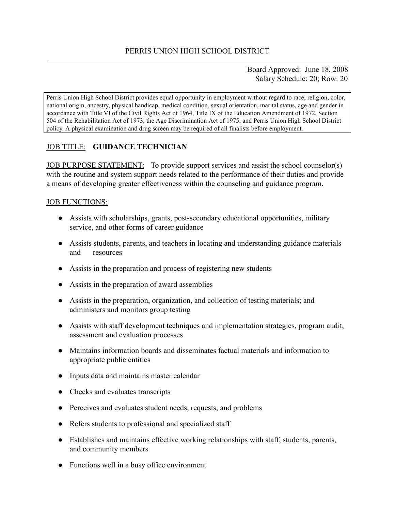Board Approved: June 18, 2008 Salary Schedule: 20; Row: 20

Perris Union High School District provides equal opportunity in employment without regard to race, religion, color, national origin, ancestry, physical handicap, medical condition, sexual orientation, marital status, age and gender in accordance with Title VI of the Civil Rights Act of 1964, Title IX of the Education Amendment of 1972, Section 504 of the Rehabilitation Act of 1973, the Age Discrimination Act of 1975, and Perris Union High School District policy. A physical examination and drug screen may be required of all finalists before employment.

# JOB TITLE: **GUIDANCE TECHNICIAN**

JOB PURPOSE STATEMENT: To provide support services and assist the school counselor(s) with the routine and system support needs related to the performance of their duties and provide a means of developing greater effectiveness within the counseling and guidance program.

#### JOB FUNCTIONS:

- Assists with scholarships, grants, post-secondary educational opportunities, military service, and other forms of career guidance
- Assists students, parents, and teachers in locating and understanding guidance materials and resources
- Assists in the preparation and process of registering new students
- Assists in the preparation of award assemblies
- Assists in the preparation, organization, and collection of testing materials; and administers and monitors group testing
- Assists with staff development techniques and implementation strategies, program audit, assessment and evaluation processes
- Maintains information boards and disseminates factual materials and information to appropriate public entities
- Inputs data and maintains master calendar
- Checks and evaluates transcripts
- Perceives and evaluates student needs, requests, and problems
- Refers students to professional and specialized staff
- Establishes and maintains effective working relationships with staff, students, parents, and community members
- Functions well in a busy office environment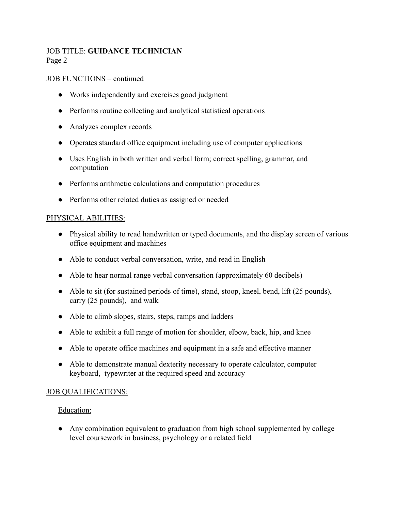# JOB TITLE: **GUIDANCE TECHNICIAN** Page 2

## JOB FUNCTIONS – continued

- Works independently and exercises good judgment
- Performs routine collecting and analytical statistical operations
- Analyzes complex records
- Operates standard office equipment including use of computer applications
- Uses English in both written and verbal form; correct spelling, grammar, and computation
- Performs arithmetic calculations and computation procedures
- Performs other related duties as assigned or needed

## PHYSICAL ABILITIES:

- Physical ability to read handwritten or typed documents, and the display screen of various office equipment and machines
- Able to conduct verbal conversation, write, and read in English
- Able to hear normal range verbal conversation (approximately 60 decibels)
- Able to sit (for sustained periods of time), stand, stoop, kneel, bend, lift (25 pounds), carry (25 pounds), and walk
- Able to climb slopes, stairs, steps, ramps and ladders
- Able to exhibit a full range of motion for shoulder, elbow, back, hip, and knee
- Able to operate office machines and equipment in a safe and effective manner
- Able to demonstrate manual dexterity necessary to operate calculator, computer keyboard, typewriter at the required speed and accuracy

## JOB QUALIFICATIONS:

#### Education:

● Any combination equivalent to graduation from high school supplemented by college level coursework in business, psychology or a related field